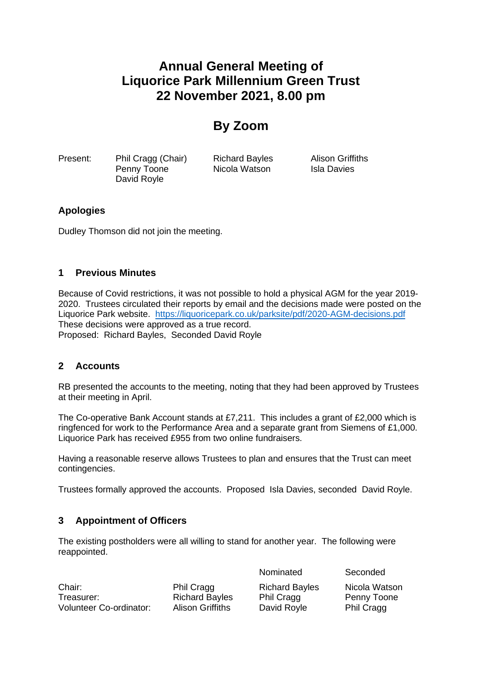# **Annual General Meeting of Liquorice Park Millennium Green Trust 22 November 2021, 8.00 pm**

## **By Zoom**

Present: Phil Cragg (Chair) Richard Bayles Alison Griffiths Penny Toone **Nicola Watson** Isla Davies David Royle

## **Apologies**

Dudley Thomson did not join the meeting.

#### **1 Previous Minutes**

Because of Covid restrictions, it was not possible to hold a physical AGM for the year 2019- 2020. Trustees circulated their reports by email and the decisions made were posted on the Liquorice Park website. <https://liquoricepark.co.uk/parksite/pdf/2020-AGM-decisions.pdf> These decisions were approved as a true record. Proposed: Richard Bayles, Seconded David Royle

#### **2 Accounts**

RB presented the accounts to the meeting, noting that they had been approved by Trustees at their meeting in April.

The Co-operative Bank Account stands at £7,211. This includes a grant of £2,000 which is ringfenced for work to the Performance Area and a separate grant from Siemens of £1,000. Liquorice Park has received £955 from two online fundraisers.

Having a reasonable reserve allows Trustees to plan and ensures that the Trust can meet contingencies.

Trustees formally approved the accounts. Proposed Isla Davies, seconded David Royle.

#### **3 Appointment of Officers**

The existing postholders were all willing to stand for another year. The following were reappointed.

Chair: Phil Cragg Richard Bayles Nicola Watson Treasurer: Treasurer: Richard Bayles Phil Cragg Penny Toone Volunteer Co-ordinator: Alison Griffiths David Royle Phil Cragg

Nominated Seconded